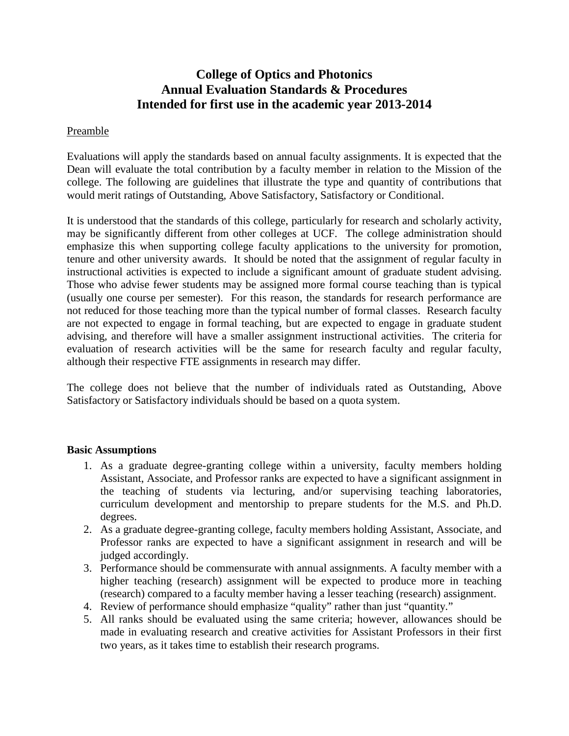# **College of Optics and Photonics Annual Evaluation Standards & Procedures Intended for first use in the academic year 2013-2014**

# Preamble

Evaluations will apply the standards based on annual faculty assignments. It is expected that the Dean will evaluate the total contribution by a faculty member in relation to the Mission of the college. The following are guidelines that illustrate the type and quantity of contributions that would merit ratings of Outstanding, Above Satisfactory, Satisfactory or Conditional.

It is understood that the standards of this college, particularly for research and scholarly activity, may be significantly different from other colleges at UCF. The college administration should emphasize this when supporting college faculty applications to the university for promotion, tenure and other university awards. It should be noted that the assignment of regular faculty in instructional activities is expected to include a significant amount of graduate student advising. Those who advise fewer students may be assigned more formal course teaching than is typical (usually one course per semester). For this reason, the standards for research performance are not reduced for those teaching more than the typical number of formal classes. Research faculty are not expected to engage in formal teaching, but are expected to engage in graduate student advising, and therefore will have a smaller assignment instructional activities. The criteria for evaluation of research activities will be the same for research faculty and regular faculty, although their respective FTE assignments in research may differ.

The college does not believe that the number of individuals rated as Outstanding, Above Satisfactory or Satisfactory individuals should be based on a quota system.

# **Basic Assumptions**

- 1. As a graduate degree-granting college within a university, faculty members holding Assistant, Associate, and Professor ranks are expected to have a significant assignment in the teaching of students via lecturing, and/or supervising teaching laboratories, curriculum development and mentorship to prepare students for the M.S. and Ph.D. degrees.
- 2. As a graduate degree-granting college, faculty members holding Assistant, Associate, and Professor ranks are expected to have a significant assignment in research and will be judged accordingly.
- 3. Performance should be commensurate with annual assignments. A faculty member with a higher teaching (research) assignment will be expected to produce more in teaching (research) compared to a faculty member having a lesser teaching (research) assignment.
- 4. Review of performance should emphasize "quality" rather than just "quantity."
- 5. All ranks should be evaluated using the same criteria; however, allowances should be made in evaluating research and creative activities for Assistant Professors in their first two years, as it takes time to establish their research programs.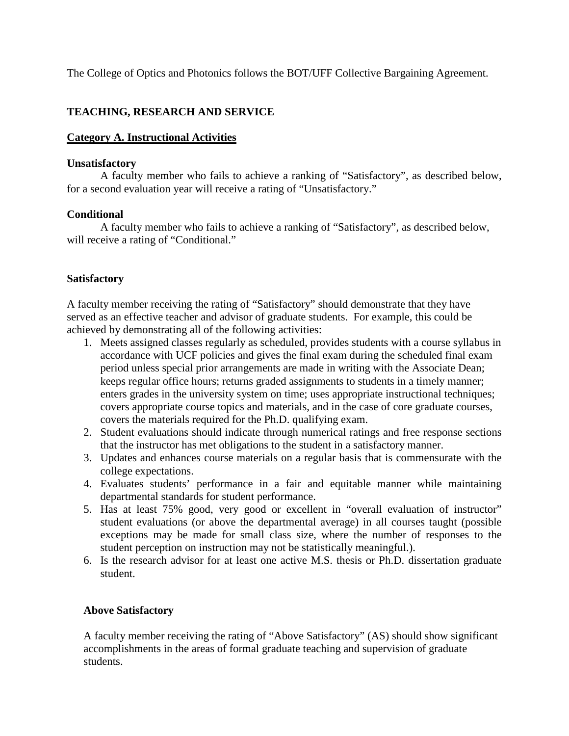The College of Optics and Photonics follows the BOT/UFF Collective Bargaining Agreement.

# **TEACHING, RESEARCH AND SERVICE**

# **Category A. Instructional Activities**

# **Unsatisfactory**

A faculty member who fails to achieve a ranking of "Satisfactory", as described below, for a second evaluation year will receive a rating of "Unsatisfactory."

# **Conditional**

A faculty member who fails to achieve a ranking of "Satisfactory", as described below, will receive a rating of "Conditional."

# **Satisfactory**

A faculty member receiving the rating of "Satisfactory" should demonstrate that they have served as an effective teacher and advisor of graduate students. For example, this could be achieved by demonstrating all of the following activities:

- 1. Meets assigned classes regularly as scheduled, provides students with a course syllabus in accordance with UCF policies and gives the final exam during the scheduled final exam period unless special prior arrangements are made in writing with the Associate Dean; keeps regular office hours; returns graded assignments to students in a timely manner; enters grades in the university system on time; uses appropriate instructional techniques; covers appropriate course topics and materials, and in the case of core graduate courses, covers the materials required for the Ph.D. qualifying exam.
- 2. Student evaluations should indicate through numerical ratings and free response sections that the instructor has met obligations to the student in a satisfactory manner.
- 3. Updates and enhances course materials on a regular basis that is commensurate with the college expectations.
- 4. Evaluates students' performance in a fair and equitable manner while maintaining departmental standards for student performance.
- 5. Has at least 75% good, very good or excellent in "overall evaluation of instructor" student evaluations (or above the departmental average) in all courses taught (possible exceptions may be made for small class size, where the number of responses to the student perception on instruction may not be statistically meaningful.).
- 6. Is the research advisor for at least one active M.S. thesis or Ph.D. dissertation graduate student.

# **Above Satisfactory**

A faculty member receiving the rating of "Above Satisfactory" (AS) should show significant accomplishments in the areas of formal graduate teaching and supervision of graduate students.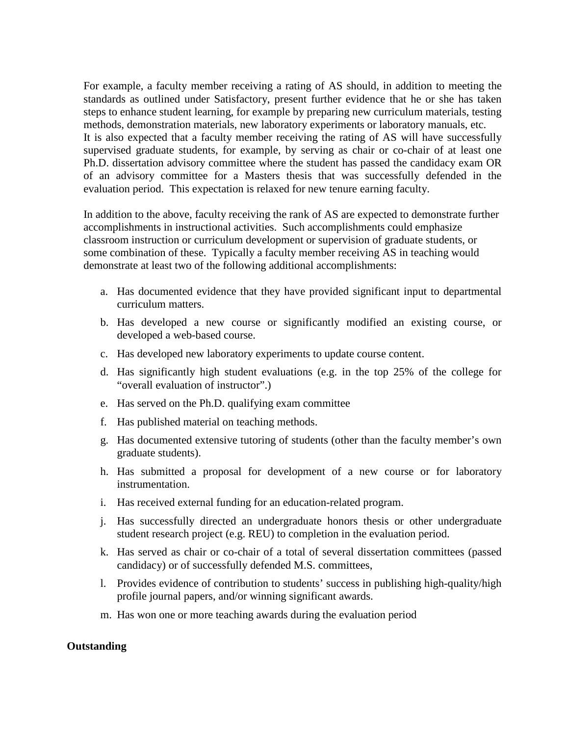For example, a faculty member receiving a rating of AS should, in addition to meeting the standards as outlined under Satisfactory, present further evidence that he or she has taken steps to enhance student learning, for example by preparing new curriculum materials, testing methods, demonstration materials, new laboratory experiments or laboratory manuals, etc. It is also expected that a faculty member receiving the rating of AS will have successfully supervised graduate students, for example, by serving as chair or co-chair of at least one Ph.D. dissertation advisory committee where the student has passed the candidacy exam OR of an advisory committee for a Masters thesis that was successfully defended in the evaluation period. This expectation is relaxed for new tenure earning faculty.

In addition to the above, faculty receiving the rank of AS are expected to demonstrate further accomplishments in instructional activities. Such accomplishments could emphasize classroom instruction or curriculum development or supervision of graduate students, or some combination of these. Typically a faculty member receiving AS in teaching would demonstrate at least two of the following additional accomplishments:

- a. Has documented evidence that they have provided significant input to departmental curriculum matters.
- b. Has developed a new course or significantly modified an existing course, or developed a web-based course.
- c. Has developed new laboratory experiments to update course content.
- d. Has significantly high student evaluations (e.g. in the top 25% of the college for "overall evaluation of instructor".)
- e. Has served on the Ph.D. qualifying exam committee
- f. Has published material on teaching methods.
- g. Has documented extensive tutoring of students (other than the faculty member's own graduate students).
- h. Has submitted a proposal for development of a new course or for laboratory instrumentation.
- i. Has received external funding for an education-related program.
- j. Has successfully directed an undergraduate honors thesis or other undergraduate student research project (e.g. REU) to completion in the evaluation period.
- k. Has served as chair or co-chair of a total of several dissertation committees (passed candidacy) or of successfully defended M.S. committees,
- l. Provides evidence of contribution to students' success in publishing high-quality/high profile journal papers, and/or winning significant awards.
- m. Has won one or more teaching awards during the evaluation period

# **Outstanding**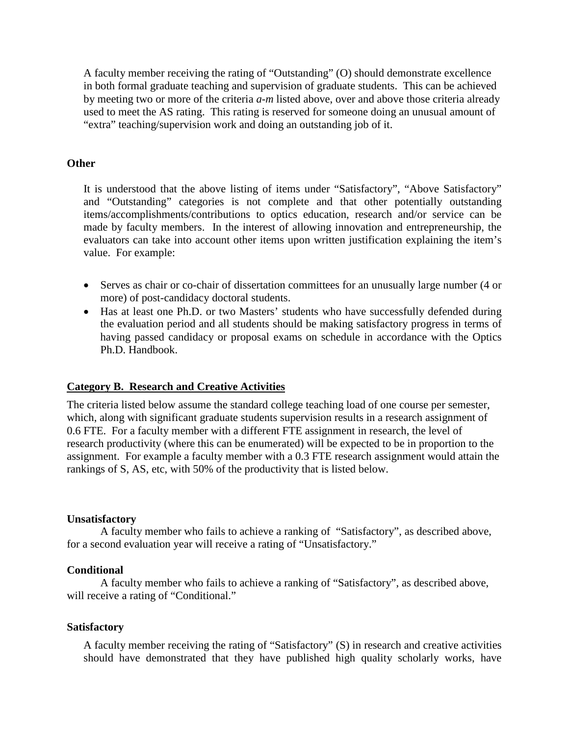A faculty member receiving the rating of "Outstanding" (O) should demonstrate excellence in both formal graduate teaching and supervision of graduate students. This can be achieved by meeting two or more of the criteria *a-m* listed above, over and above those criteria already used to meet the AS rating. This rating is reserved for someone doing an unusual amount of "extra" teaching/supervision work and doing an outstanding job of it.

# **Other**

It is understood that the above listing of items under "Satisfactory", "Above Satisfactory" and "Outstanding" categories is not complete and that other potentially outstanding items/accomplishments/contributions to optics education, research and/or service can be made by faculty members. In the interest of allowing innovation and entrepreneurship, the evaluators can take into account other items upon written justification explaining the item's value. For example:

- Serves as chair or co-chair of dissertation committees for an unusually large number (4 or more) of post-candidacy doctoral students.
- Has at least one Ph.D. or two Masters' students who have successfully defended during the evaluation period and all students should be making satisfactory progress in terms of having passed candidacy or proposal exams on schedule in accordance with the Optics Ph.D. Handbook.

# **Category B. Research and Creative Activities**

The criteria listed below assume the standard college teaching load of one course per semester, which, along with significant graduate students supervision results in a research assignment of 0.6 FTE. For a faculty member with a different FTE assignment in research, the level of research productivity (where this can be enumerated) will be expected to be in proportion to the assignment. For example a faculty member with a 0.3 FTE research assignment would attain the rankings of S, AS, etc, with 50% of the productivity that is listed below.

# **Unsatisfactory**

A faculty member who fails to achieve a ranking of "Satisfactory", as described above, for a second evaluation year will receive a rating of "Unsatisfactory."

#### **Conditional**

A faculty member who fails to achieve a ranking of "Satisfactory", as described above, will receive a rating of "Conditional."

# **Satisfactory**

A faculty member receiving the rating of "Satisfactory" (S) in research and creative activities should have demonstrated that they have published high quality scholarly works, have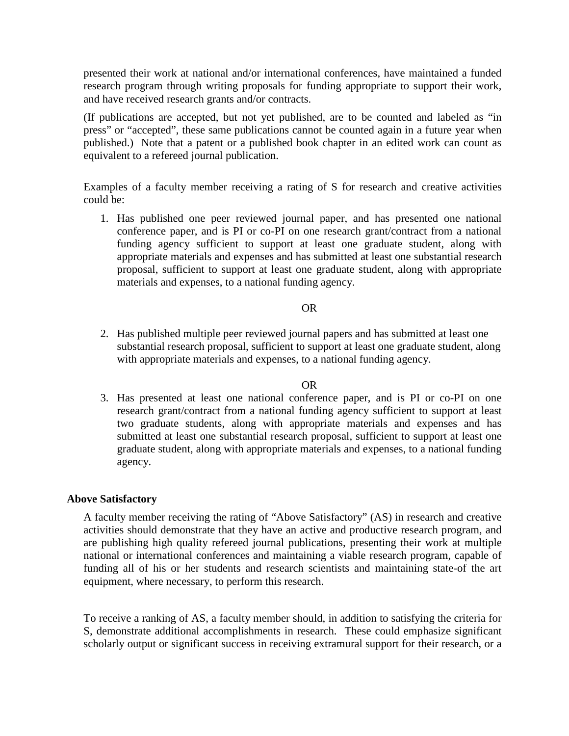presented their work at national and/or international conferences, have maintained a funded research program through writing proposals for funding appropriate to support their work, and have received research grants and/or contracts.

(If publications are accepted, but not yet published, are to be counted and labeled as "in press" or "accepted", these same publications cannot be counted again in a future year when published.) Note that a patent or a published book chapter in an edited work can count as equivalent to a refereed journal publication.

Examples of a faculty member receiving a rating of S for research and creative activities could be:

1. Has published one peer reviewed journal paper, and has presented one national conference paper, and is PI or co-PI on one research grant/contract from a national funding agency sufficient to support at least one graduate student, along with appropriate materials and expenses and has submitted at least one substantial research proposal, sufficient to support at least one graduate student, along with appropriate materials and expenses, to a national funding agency.

#### OR

2. Has published multiple peer reviewed journal papers and has submitted at least one substantial research proposal, sufficient to support at least one graduate student, along with appropriate materials and expenses, to a national funding agency.

#### OR

3. Has presented at least one national conference paper, and is PI or co-PI on one research grant/contract from a national funding agency sufficient to support at least two graduate students, along with appropriate materials and expenses and has submitted at least one substantial research proposal, sufficient to support at least one graduate student, along with appropriate materials and expenses, to a national funding agency.

# **Above Satisfactory**

A faculty member receiving the rating of "Above Satisfactory" (AS) in research and creative activities should demonstrate that they have an active and productive research program, and are publishing high quality refereed journal publications, presenting their work at multiple national or international conferences and maintaining a viable research program, capable of funding all of his or her students and research scientists and maintaining state-of the art equipment, where necessary, to perform this research.

To receive a ranking of AS, a faculty member should, in addition to satisfying the criteria for S, demonstrate additional accomplishments in research. These could emphasize significant scholarly output or significant success in receiving extramural support for their research, or a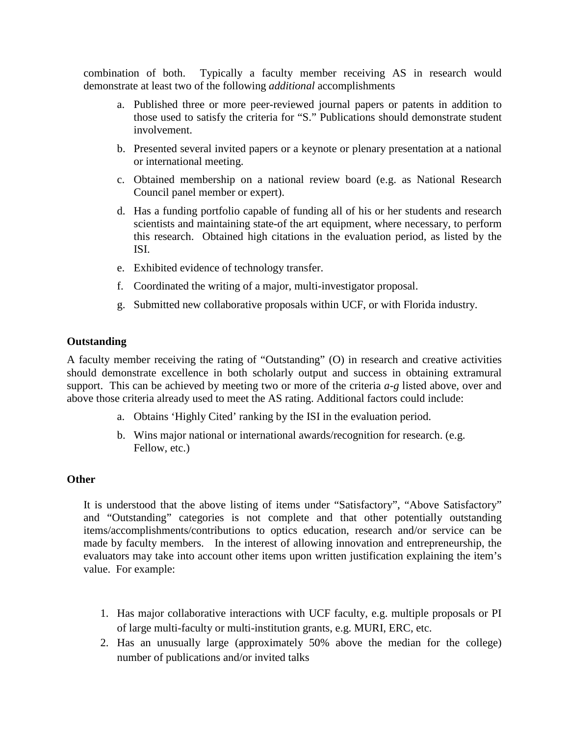combination of both. Typically a faculty member receiving AS in research would demonstrate at least two of the following *additional* accomplishments

- a. Published three or more peer-reviewed journal papers or patents in addition to those used to satisfy the criteria for "S." Publications should demonstrate student involvement.
- b. Presented several invited papers or a keynote or plenary presentation at a national or international meeting.
- c. Obtained membership on a national review board (e.g. as National Research Council panel member or expert).
- d. Has a funding portfolio capable of funding all of his or her students and research scientists and maintaining state-of the art equipment, where necessary, to perform this research. Obtained high citations in the evaluation period, as listed by the ISI.
- e. Exhibited evidence of technology transfer.
- f. Coordinated the writing of a major, multi-investigator proposal.
- g. Submitted new collaborative proposals within UCF, or with Florida industry.

# **Outstanding**

A faculty member receiving the rating of "Outstanding" (O) in research and creative activities should demonstrate excellence in both scholarly output and success in obtaining extramural support. This can be achieved by meeting two or more of the criteria *a-g* listed above, over and above those criteria already used to meet the AS rating. Additional factors could include:

- a. Obtains 'Highly Cited' ranking by the ISI in the evaluation period.
- b. Wins major national or international awards/recognition for research. (e.g. Fellow, etc.)

# **Other**

It is understood that the above listing of items under "Satisfactory", "Above Satisfactory" and "Outstanding" categories is not complete and that other potentially outstanding items/accomplishments/contributions to optics education, research and/or service can be made by faculty members. In the interest of allowing innovation and entrepreneurship, the evaluators may take into account other items upon written justification explaining the item's value. For example:

- 1. Has major collaborative interactions with UCF faculty, e.g. multiple proposals or PI of large multi-faculty or multi-institution grants, e.g. MURI, ERC, etc.
- 2. Has an unusually large (approximately 50% above the median for the college) number of publications and/or invited talks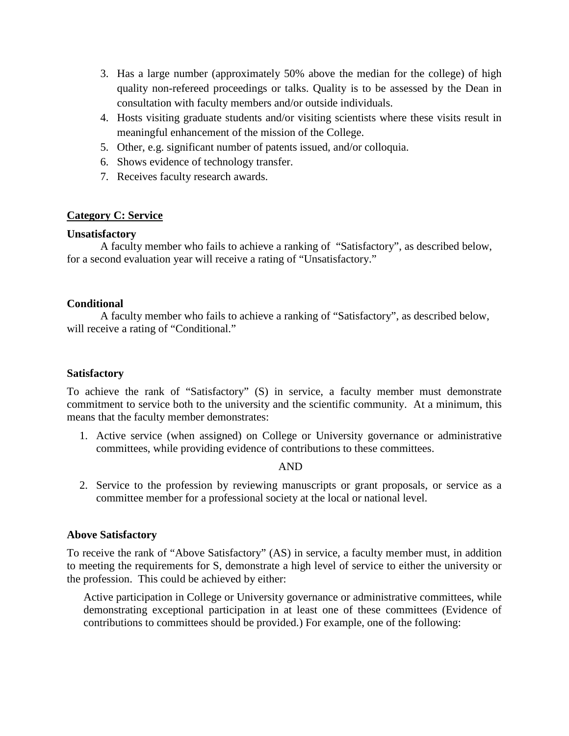- 3. Has a large number (approximately 50% above the median for the college) of high quality non-refereed proceedings or talks. Quality is to be assessed by the Dean in consultation with faculty members and/or outside individuals.
- 4. Hosts visiting graduate students and/or visiting scientists where these visits result in meaningful enhancement of the mission of the College.
- 5. Other, e.g. significant number of patents issued, and/or colloquia.
- 6. Shows evidence of technology transfer.
- 7. Receives faculty research awards.

# **Category C: Service**

# **Unsatisfactory**

A faculty member who fails to achieve a ranking of "Satisfactory", as described below, for a second evaluation year will receive a rating of "Unsatisfactory."

# **Conditional**

A faculty member who fails to achieve a ranking of "Satisfactory", as described below, will receive a rating of "Conditional."

# **Satisfactory**

To achieve the rank of "Satisfactory" (S) in service, a faculty member must demonstrate commitment to service both to the university and the scientific community. At a minimum, this means that the faculty member demonstrates:

1. Active service (when assigned) on College or University governance or administrative committees, while providing evidence of contributions to these committees.

#### AND

2. Service to the profession by reviewing manuscripts or grant proposals, or service as a committee member for a professional society at the local or national level.

# **Above Satisfactory**

To receive the rank of "Above Satisfactory" (AS) in service, a faculty member must, in addition to meeting the requirements for S, demonstrate a high level of service to either the university or the profession. This could be achieved by either:

Active participation in College or University governance or administrative committees, while demonstrating exceptional participation in at least one of these committees (Evidence of contributions to committees should be provided.) For example, one of the following: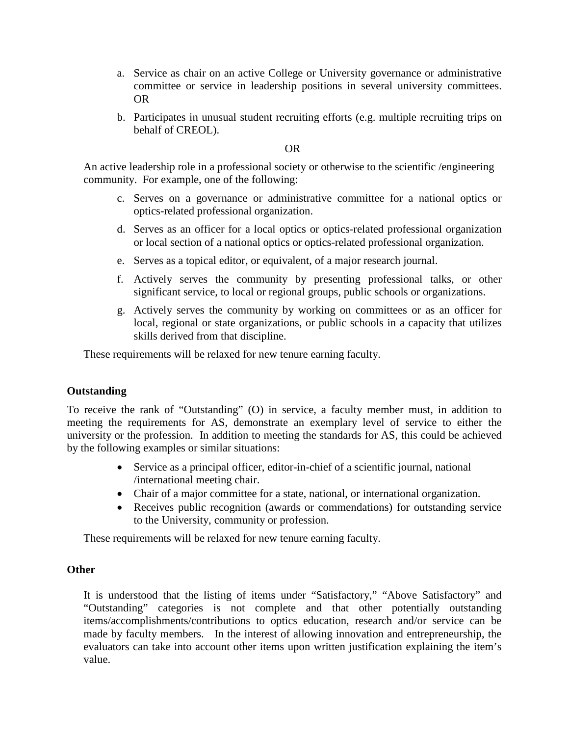- a. Service as chair on an active College or University governance or administrative committee or service in leadership positions in several university committees. OR
- b. Participates in unusual student recruiting efforts (e.g. multiple recruiting trips on behalf of CREOL).

OR

An active leadership role in a professional society or otherwise to the scientific /engineering community. For example, one of the following:

- c. Serves on a governance or administrative committee for a national optics or optics-related professional organization.
- d. Serves as an officer for a local optics or optics-related professional organization or local section of a national optics or optics-related professional organization.
- e. Serves as a topical editor, or equivalent, of a major research journal.
- f. Actively serves the community by presenting professional talks, or other significant service, to local or regional groups, public schools or organizations.
- g. Actively serves the community by working on committees or as an officer for local, regional or state organizations, or public schools in a capacity that utilizes skills derived from that discipline.

These requirements will be relaxed for new tenure earning faculty.

# **Outstanding**

To receive the rank of "Outstanding" (O) in service, a faculty member must, in addition to meeting the requirements for AS, demonstrate an exemplary level of service to either the university or the profession. In addition to meeting the standards for AS, this could be achieved by the following examples or similar situations:

- Service as a principal officer, editor-in-chief of a scientific journal, national /international meeting chair.
- Chair of a major committee for a state, national, or international organization.
- Receives public recognition (awards or commendations) for outstanding service to the University, community or profession.

These requirements will be relaxed for new tenure earning faculty.

# **Other**

It is understood that the listing of items under "Satisfactory," "Above Satisfactory" and "Outstanding" categories is not complete and that other potentially outstanding items/accomplishments/contributions to optics education, research and/or service can be made by faculty members. In the interest of allowing innovation and entrepreneurship, the evaluators can take into account other items upon written justification explaining the item's value.